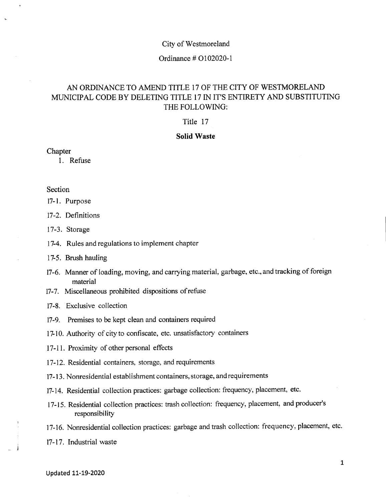#### City of Westmoreland

#### Ordinance # 0102020-1

# AN ORDINANCE TO AMEND TITLE 17 OF THE CITY OF WESTMORELAND MUNICIPAL CODE BY DELETING TITLE 17 IN IT'S ENTIRETY AND SUBSTITUTING THE FOLLOWING:

#### Title 17

### **Solid Waste**

#### **Chapter**

1. Refuse

#### **Section**

17-1. Purpose

- 17-2. Definitions
- 17-3. Storage
- 17-4. Rules and regulations to implement chapter
- 17-5. Brush hauling
- 17-6. Manner of loading, moving, and carrying material, garbage, etc., and tracking of foreign material
- 17-7. Miscellaneous prohibited dispositions of refuse
- 17-8. Exclusive collection
- 17-9. Premises to be kept clean and containers required
- 17-10. Authority of city to confiscate, etc. unsatisfactory containers
- 17-11. Proximity of other personal effects
- 17-12. Residential containers, storage, and requirements
- 17-13. Nonresidential establishment containers, storage, and requirements
- 17-14. Residential collection practices: garbage collection: frequency, placement, etc.
- 17-15. Residential collection practices: trash collection: frequency, placement, and producer's responsibility
- 17-16. Nonresidential collection practices: garbage and trash collection: frequency, placement, etc.
- 17-17. Industrial waste

 $\sim$  J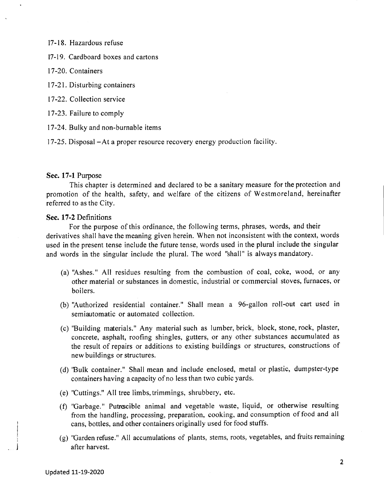17-18. Hazardous refuse

17-19. Cardboard boxes and cartons

17-20. Containers

17-21. Disturbing containers

17-22. Collection service

17-23. Failure to comply

17-24. Bulky and non-burnable items

17-25. Disposal-At a proper resource recovery energy production facility.

#### **Sec. 17-1** Purpose

This chapter is determined and declared to be a sanitary measure for the protection and promotion of the health, safety, and welfare of the citizens of Westmoreland, hereinafter referred to as the City.

#### **Sec. 17-2** Definitions

For the purpose of this ordinance, the following terms, phrases, words, and their derivatives shall have the meaning given herein. When not inconsistent with the context, words used in the present tense include the future tense, words used in the plural include the singular and words in the singular include the plural. The word "shall" is always mandatory.

- (a) "Ashes." All residues resulting from the combustion of coal, coke, wood, or any other material or substances in domestic, industrial or commercial stoves, furnaces, or boilers.
- (b) "Authorized residential container." Shall mean a 96-gallon roll-out cart used in semiautomatic or automated collection.
- (c) "Building materials." Any material such as lumber, brick, block, stone, rock, plaster, concrete, asphalt, roofing shingles, gutters, or any other substances accumulated as the result of repairs or additions to existing buildings or structures, constructions of new buildings or structures.
- (d) 'Bulk container." Shall mean and include enclosed, metal or plastic, dumpster-type containers having a capacity of no less than two cubic yards.
- (e) "Cuttings." All tree limbs, trimmings, shrubbery, etc.
- (f) "Garbage." Putrescible animal and vegetable waste, liquid, or otherwise resulting from the handling, processing, preparation, cooking, and consumption of food and all cans, bottles, and other containers originally used for food stuffs.
- (g) "Garden refuse." All accumulations of plants, stems, roots, vegetables, and fruits remaining after harvest.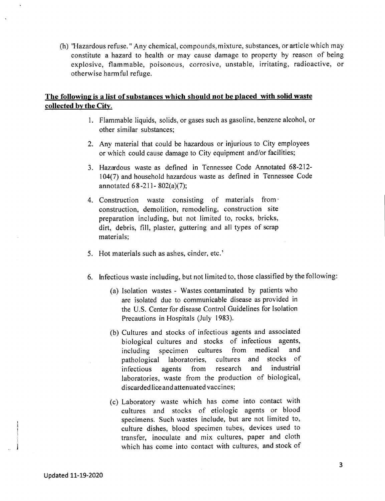(h) ''Hazardous refuse. " Any chemical, compounds, mixture, substances, or article which may constitute a hazard to health or may cause damage to property by reason of being explosive, flammable, poisonous, corrosive, unstable, irritating, radioactive, or otherwise harmful refuge.

### **The following is a list of substances which should not be placed with solid waste collected by the** City.

- 1. Flammable liquids, solids, or gases such as gasoline, benzene alcohol, or other similar substances;
- 2. Any material that could be hazardous or injurious to City employees or which could cause damage to City equipment and/or facilities;
- 3. Hazardous waste as defined in Tennessee Code Annotated 68-212- 104(7) and household hazardous waste as defined in Tennessee Code annotated 68 -211- 802(a)(7);
- 4. Construction waste consisting of materials from· construction, demolition, remodeling, construction site preparation including, but not limited to, rocks, bricks, dirt, debris, fill, plaster, guttering and all types of scrap materials;
- 5. Hot materials such as ashes, cinder, etc.'
- 6. Infectious waste including, but not limited to, those classified by the following:
	- (a) Isolation wastes Wastes contaminated by patients who are isolated due to communicable disease as provided in the U.S. Center for disease Control Guidelines for Isolation Precautions in Hospitals (July 1983).
	- (b) Cultures and stocks of infectious agents and associated biological cultures and stocks of infectious agents, including specimen cultures from medical and<br>nathological laboratories, cultures and stocks of pathological laboratories, cultures and infectious agents from research and industrial laboratories, waste from the production of biological, discarded liceand attenuated vaccines;
	- (c) Laboratory waste which has come into contact with cultures and stocks of etiologic agents or blood specimens. Such wastes include, but are not limited to, culture dishes, blood specimen tubes, devices used to transfer, inoculate and mix cultures, paper and cloth which has come into contact with cultures, and stock of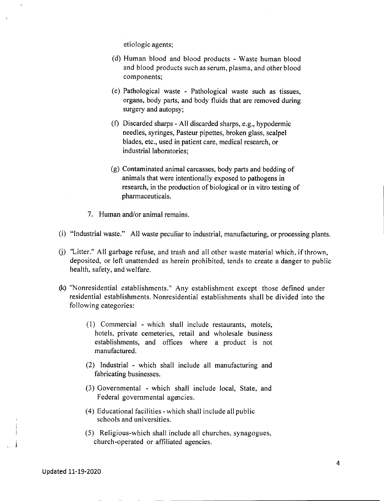etiologic agents;

- (d) Human blood and blood products Waste human blood and blood products such as serum, plasma, and other blood components;
- (e) Pathological waste Pathological waste such as tissues, organs, body parts, and body fluids that are removed during surgery and autopsy;
- (f) Discarded sharps All discarded sharps, e.g., hypodermic needles, syringes, Pasteur pipettes, broken glass, scalpel blades, etc., used in patient care, medical research, or industrial laboratories;
- (g) Contaminated animal carcasses, body parts and bedding of animals that were intentionally exposed to pathogens in research, in the production of biological or in vitro testing of pharmaceuticals.
- 7. Human and/or animal remains.
- (i) "Industrial waste." All waste peculiar to industrial, manufacturing, or processing plants.
- (j) "Litter." All garbage refuse, and trash and all other waste material which. if thrown, deposited, or left unattended as herein prohibited, tends to create a danger to public health, safety, and welfare.
- (k) "Nonresidential establishments." Any establishment except those defined under residential establishments. Nonresidential establishments shall be divided into the following categories:
	- (1) Commercial which shall include restaurants, motels, hotels, private cemeteries, retail and wholesale business establishments, and offices where a product is not manufactured.
	- (2) Industrial which shall include all manufacturing and fabricating businesses.
	- (3) Governmental which shall include local, State, and Federal governmental agencies.
	- (4) Educational facilities which shall include all public schools and universities.
	- (5) Religious-which shall include all churches, synagogues, church-operated or affiliated agencies.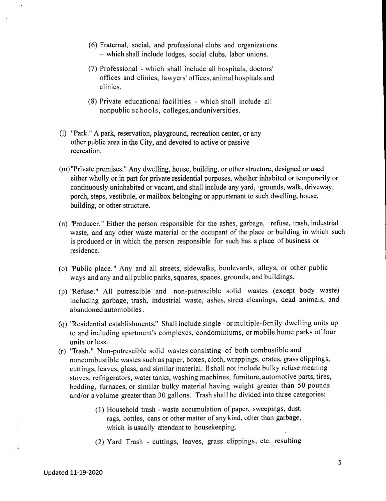- (6) Fraternal, social, and professional clubs and organizations - which shall include lodges, social clubs, labor unions.
- (7) Professional which shall include all hospitals, doctors' offices and clinics, lawyers' offices, animal hospitals and clinics.
- (8) Private educational facilities which shall include all nonpublic schools, colleges,anduniversities.
- (I) "Park." A park, reservation, playground, recreation center, or any other public area in the City, and devoted to active or passive recreation.
- (m) "Private premises." Any dwelling, house, building, or other structure, designed or used either wholly or in part for private residential purposes, whether inhabited or temporarily or continuously uninhabited or vacant, and shall include any yard, ·grounds, walk, driveway, porch, steps, vestibule, or mailbox belonging or appurtenant to such dwelling, house, building, or other structure.
- (n) 'Producer." Either the person responsible for the ashes, garbage, refuse, trash, industrial waste, and any other waste material or the occupant of the place or building in which such is produced or in which the person responsible for such has a place of business or residence.
- (0) "Public place." Any and all streets, sidewalks, boulevards, alleys, or other public ways and any and all public parks, squares, spaces, grounds, and buildings.
- (p) 'Refuse." All putrescible and non-putrescible solid wastes (except body waste) including garbage, trash, industrial waste, ashes, street cleanings, dead animals, and abandoned automobiles.
- (q) 'Residential establishments." Shall include single or multiple-family dwelling units up to and including apartment's complexes, condominiums, or mobile home parks of four units or less.
- (r) ''Trash.'' Non-putrescible solid wastes consisting of both combustible and noncombustible wastes such as paper, boxes, cloth, wrappings, crates, grass clippings, cuttings, leaves, glass, and similar material. **It** shall not include bulky refuse meaning stoves, refrigerators, water tanks, washing machines, furniture, automotive parts, tires, bedding, furnaces, or similar bulky material having weight greater than 50 pounds and/or a volume greater than 30 gallons. Trash shall be divided into three categories:
	- (1) Household trash waste accumulation of paper, sweepings, dust, rags, bottles, cans or other matter of any kind, other than garbage, which is usually attendant to housekeeping.
	- (2) Yard Trash cuttings, leaves, grass clippings, etc. resulting

 $\blacksquare$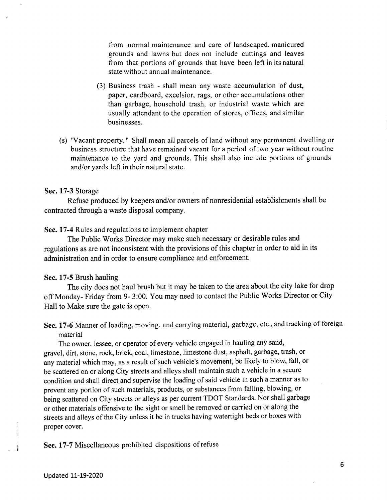from normal maintenance and care of landscaped, manicured grounds and lawns but does not include cuttings and leaves from that portions of grounds that have been left in its natural state without annual maintenance.

- (3) Business trash shall mean any waste accumulation of dust, paper, cardboard, excelsior, rags, or other accumulations other than garbage, household trash, or industrial waste which are usually attendant to the operation of stores, offices, and similar businesses.
- (s) ''Vacant property." Shall mean all parcels of land without any permanent dwelling or business structure that have remained vacant for a period of two year without routine maintenance to the yard and grounds. This shall also include portions of grounds and/or yards left in their natural state.

### Sec. 17-3 Storage

Refuse produced by keepers and/or owners of nonresidential establishments shall be contracted through a waste disposal company.

Sec. 17-4 Rules and regulations to implement chapter

The Public Works Director may make such necessary or desirable rules and regulations as are not inconsistent with the provisions of this chapter in order to aid in its administration and in order to ensure compliance and enforcement.

#### Sec. 17-5 Brush hauling

The city does not haul brush but it may be taken to the area about the city lake for drop off Monday- Friday from 9- 3:00. You may need to contact the Public Works Director or City Hall to Make sure the gate is open.

Sec. 17-6 Manner of loading, moving, and carrying material, garbage, etc., and tracking of foreign material

The owner, lessee, or operator of every vehicle engaged in hauling any sand, gravel, dirt, stone, rock, brick, coal, limestone, limestone dust, asphalt, garbage, trash, or any material which may, as a result of such vehicle's movement, be likely to blow, fall, or be scattered on or along City streets and alleys shall maintain such a vehicle in a secure condition and shall direct and supervise the loading of said vehicle in such a manner as to prevent any portion of such materials, products, or substances from falling, blowing, or being scattered on City streets or alleys as per current TOOT Standards. Nor shall garbage or other materials offensive to the sight or smell be removed or carried on or along the streets and alleys of the City unless it be in trucks having watertight beds or boxes with proper cover.

Sec. 17-7 Miscellaneous prohibited dispositions of refuse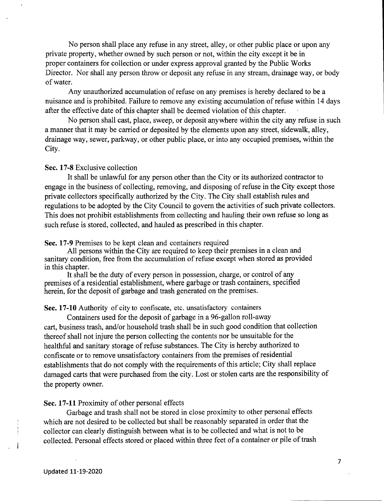No person shall place any refuse in any street, alley, or other public place or upon any private property, whether owned by such person or not, within the city except it be in proper containers for collection or under express approval granted by the Public Works Director. Nor shall any person throw or deposit any refuse in any stream, drainage way, or body of water.

Any unauthorized accumulation of refuse on any premises is hereby declared to be a nuisance and is prohibited. Failure to remove any existing accumulation of refuse within 14 days after the effective date of this chapter shall be deemed violation of this chapter.

No person shall cast, place, sweep, or deposit anywhere within the city any refuse in such a manner that it may be carried or deposited by the elements upon any street, sidewalk, alley, drainage way, sewer, parkway, or other public place, or into any occupied premises, within the City.

### **Sec. 17-8** Exclusive collection

It shall be unlawful for any person other than the City or its authorized contractor to engage in the business of collecting, removing, and disposing of refuse in the City except those private collectors specifically authorized by the City. The City shall establish rules and regulations to be adopted by the City Council to govern the activities of such private collectors. This does not prohibit establishments from collecting and hauling their own refuse so long as such refuse is stored, collected, and hauled as prescribed in this chapter.

#### **Sec. 17-9** Premises to be kept clean and containers required

All persons within the City are required to keep their premises in a clean and sanitary condition, free from the accumulation of refuse except when stored as provided in this chapter.

It shall be the duty of every person in possession, charge, or control of any premises of a residential establishment, where garbage or trash containers, specified herein, for the deposit of garbage and trash generated on the premises.

#### Sec. 17-10 Authority of city to confiscate, etc. unsatisfactory containers

Containers used for the deposit of garbage in a 96-gallon roll-away cart, business trash, and/or household trash shall be in such good condition that collection thereof shall not injure the person collecting the contents nor be unsuitable for the healthful and sanitary storage of refuse substances. The City is hereby authorized to confiscate or to remove unsatisfactory containers from the premises of residential establishments that do not comply with the requirements of this article; City shall replace damaged carts that were purchased from the city. Lost or stolen carts are the responsibility of the property owner.

### **Sec. 17-11** Proximity of other personal effects

Garbage and trash shall not be stored in close proximity to other personal effects which are not desired to be collected but shall be reasonably separated in order that the collector can clearly distinguish between what is to be collected and what is not to be collected. Personal effects stored or placed within three feet of a container or pile of trash

7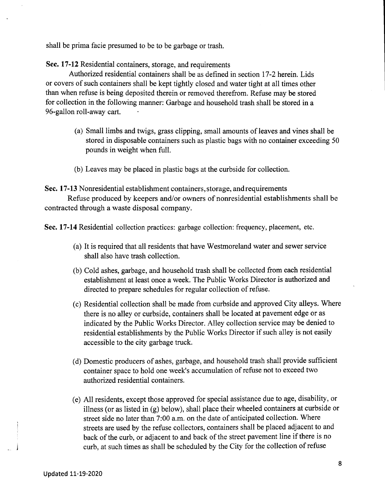shall be prima facie presumed to be to be garbage or trash.

Sec. **17-12** Residential containers, storage, and requirements

Authorized residential containers shall be as defined in section 17-2 herein. Lids or covers of such containers shall be kept tightly closed and water tight at all times other than when refuse is being deposited therein or removed therefrom. Refuse may be stored for collection in the following manner: Garbage and household trash shall be stored in a 96-gallon roll-away cart.

- (a) Small limbs and twigs, grass clipping, small amounts of leaves and vines shall be stored in disposable containers such as plastic bags with no container exceeding 50 pounds in weight when full.
- (b) Leaves may be placed in plastic bags at the curbside for collection.

Sec. **17-13** Nonresidential establishment containers,storage, and requirements

Refuse produced by keepers and/or owners of nonresidential establishments shall be contracted through a waste disposal company.

Sec. 17-14 Residential collection practices: garbage collection: frequency, placement, etc.

- (a) Itis required that all residents that have Westmoreland water and sewer service shall also have trash collection.
- (b) Cold ashes, garbage, and household trash shall be collected from each residential establishment at least once a week. The Public Works Director is authorized and directed to prepare schedules for regular collection of refuse.
- (c) Residential collection shall be made from curbside and approved City alleys. Where there is no alley or curbside, containers shall be located at pavement edge or as indicated by the Public Works Director. Alley collection service may be denied to residential establishments by the Public Works Director if such alley is not easily accessible to the city garbage truck.
- (d) Domestic producers of ashes, garbage, and household trash shall provide sufficient container space to hold one week's accumulation of refuse not to exceed two authorized residential containers.
- (e) All residents, except those approved for special assistance due to age, disability, or illness (or as listed in (g) below), shall place their wheeled containers at curbside or street side no later than 7:00 a.m. on the date of anticipated collection. Where streets are used by the refuse collectors, containers shall be placed adjacent to and back of the curb, or adjacent to and back of the street pavement line if there is no curb, at such times as shall be scheduled by the City for the collection of refuse

- j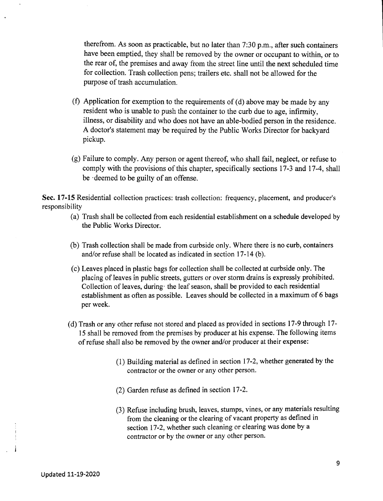therefrom. As soon as practicable, but no later than 7:30 p.m., after such containers have been emptied, they shall be removed by the owner or occupant to within, or to the rear of, the premises and away from the street line until the next scheduled time for collection. Trash collection pens; trailers etc. shall not be allowed for the purpose of trash accumulation.

- (f) Application for exemption to the requirements of (d) above may be made by any resident who is unable to push the container to the curb due to age, infirmity, illness, or disability and who does not have an able-bodied person in the residence. A doctor's statement may be required by the Public Works Director for backyard pickup.
- (g) Failure to comply. Any person or agent thereof, who shall fail, neglect, or refuse to comply with the provisions of this chapter, specifically sections 17-3 and 17-4, shall be .deemed to be guilty of an offense.

Sec. **17-15** Residential collection practices: trash collection: frequency, placement, and producer's responsibility

- (a) Trash shall be collected from each residential establishment on a schedule developed by the Public Works Director.
- (b) Trash collection shall be made from curbside only. Where there is no curb, containers and/or refuse shall be located as indicated in section 17-14 (b).
- (c) Leaves placed in plastic bags for collection shall be collected at curbside only. The placing of leaves in public streets, gutters or over storm drains is expressly prohibited. Collection of leaves, during· the leaf season, shall be provided to each residential establishment as often as possible. Leaves should be collected in a maximum of 6 bags per week.
- (d) Trash or any other refuse not stored and placed as provided in sections 17-9 through 17- 15 shall be removed from the premises by producer at his expense. The following items of refuse shall also be removed by the owner and/or producer at their expense:
	- (1) Building material as defined in section 17-2, whether generated by the contractor or the owner or any other person.
	- (2) Garden refuse as defined in section 17-2.
	- (3) Refuse including brush, leaves, stumps, vines, or any materials resulting from the cleaning or the clearing of vacant property as defined in section 17-2, whether such cleaning or clearing was done by a contractor or by the owner or any other person.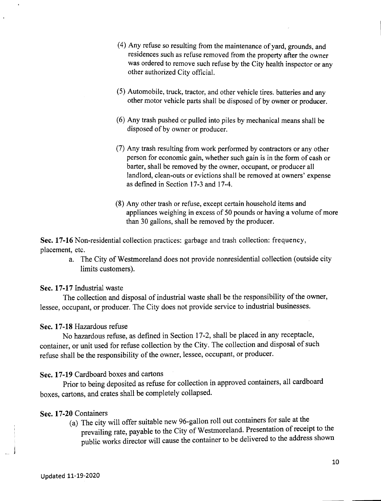- (4) Any refuse so resulting from the maintenance of yard, grounds, and residences such as refuse removed from the property after the owner was ordered to remove such refuse by the City health inspector or any other authorized City official.
- (5) Automobile, truck, tractor, and other vehicle tires. batteries and any other motor vehicle parts shall be disposed of by owner or producer.
- (6) Any trash pushed or pulled into piles by mechanical means shall be disposed of by owner or producer.
- (7) Any trash resulting from work performed by contractors or any other person for economic gain, whether such gain is in the form of cash or barter, shall be removed by the owner, occupant, or producer all landlord, clean-outs or evictions shall be removed at owners' expense as defined in Section 17-3 and 17-4.
- (8) Any other trash or refuse, except certain household items and appliances weighing in excess of 50 pounds or having a volume of more than 30 gallons, shall be removed by the producer.

Sec. **17-16** Non-residential collection practices: garbage and trash collection: frequency, placement, etc.

> a. The City of Westmoreland does not provide nonresidential collection (outside city limits customers).

### Sec. **17-17** Industrial waste

The collection and disposal of industrial waste shall be the responsibility of the owner, lessee, occupant, or producer. The City does not provide service to industrial businesses.

## Sec. **17-18** Hazardous refuse

No hazardous refuse, as defined in Section 17-2, shall be placed in any receptacle, container, or unit used for refuse collection by the City. The collection and disposal of such refuse shall be the responsibility of the owner, lessee, occupant, or producer.

Sec. **17-19** Cardboard boxes and cartons

Prior to being deposited as refuse for collection in approved containers, all cardboard boxes, cartons, and crates shall be completely collapsed.

## Sec. **17-20** Containers

(a) The city will offer suitable new 96-gallon roll out containers for sale at the prevailing rate, payable to the City of Westmoreland. Presentation of receipt to the public works director will cause the container to be delivered to the address shown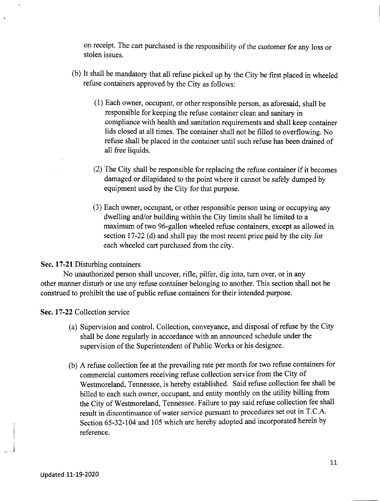on receipt. The cart purchased is the responsibility of the customer for any loss or stolen issues.

- (b) Itshall be mandatory that all refuse picked up by the City be first placed in wheeled refuse containers approved by the City as follows:
	- (1) Each owner, occupant, or other responsible person, as aforesaid, shall be responsible for keeping the refuse container clean and sanitary in compliance with health and sanitation requirements and shall keep container lids closed at all times. The container shall not be filled to overflowing. No refuse shall be placed in the container until such refuse has been drained of all free liquids.
	- (2) The City shall be responsible for replacing the refuse container if it becomes damaged or dilapidated to the point where it cannot be safely dumped by equipment used by the City for that purpose.
	- (3) Each owner, occupant, or other responsible person using or occupying any dwelling and/or building within the City limits shall be limited to a maximum of two 96-gallon wheeled refuse containers, except as allowed in section 17-22 (d) and shall pay the most recent price paid by the city for each wheeled cart purchased from the city.

### Sec. **17-21** Disturbing containers

No unauthorized person shall uncover, rifle, pilfer, dig into, tum over, or in any other manner disturb or use any refuse container belonging to another. This section shall not be construed to prohibit the use of public refuse containers for their intended purpose.

Sec. **17-22** Collection service

- (a) Supervision and control. Collection, conveyance, and disposal of refuse by the City shall be done regularly in accordance with an announced schedule under the supervision of the Superintendent of Public Works or his designee.
- (b) A refuse collection fee at the prevailing rate per month for two refuse containers for commercial customers receiving refuse collection service from the City of Westmoreland, Tennessee, is hereby established. Said refuse collection fee shall be billed to each such owner, occupant, and entity monthly on the utility billing from the City of Westmoreland, Tennessee. Failure to pay said refuse collection fee shall result in discontinuance of water service pursuant to procedures set out in T.C.A. Section 65-32-104 and 105 which are hereby adopted and incorporated herein by reference.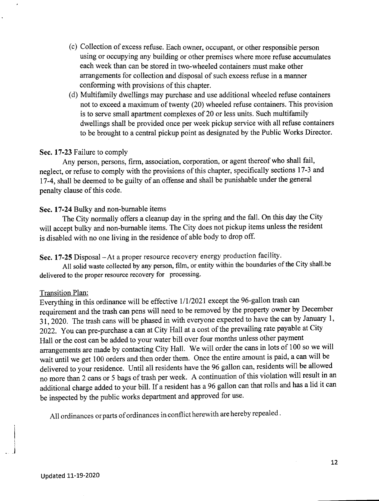- (c) C~llection of excess refuse. Each owner, occupant, or other responsible person using or occupying any building or other premises where more refuse accumulates each week than can be stored in two-wheeled containers must make other arrangements for collection and disposal of such excess refuse in a manner conforming with provisions of this chapter.
- (d) Multifamily dwellings may purchase and use additional wheeled refuse containers not to exceed a maximum of twenty (20) wheeled refuse containers. This provision is to serve small apartment complexes of 20 or less units. Such multifamily dwellings shall be provided once per week pickup service with all refuse containers to be brought to a central pickup point as designated by the Public Works Director.

### Sec. **17-23** Failure to comply

Any person, persons, firm, association, corporation, or agent thereof who shall fail, neglect, or refuse to comply with the provisions of this chapter, specifically sections 17-3 and 17-4,shall be deemed to be guilty of an offense and shall be punishable under the general penalty clause of this code.

### Sec. **17-24** Bulky and non-burnable items

The City normally offers a cleanup day in the spring and the fall. On this day the City will accept bulky and non-burnable items. The City does not pickup items unless the resident is disabled with no one living in the residence of able body to drop off.

Sec. 17-25 Disposal - At a proper resource recovery energy production facility.

All solid waste collected by any person, film, or entity within the boundaries of the City shall.be delivered to the proper resource recovery for processing.

#### Transition Plan:

Everything in this ordinance will be effective *1/1/2021* except the 96-gallon trash can requirement and the trash can pens will need to be removed by the property owner by December 31, 2020. The trash cans will be phased in with everyone expected to have the can by January 1, 2022. You can pre-purchase a can at City Hall at a cost of the prevailing rate payable at City Hall or the cost can be added to your water bill over four months unless other payment arrangements are made by contacting City Hall. We will order the cans in lots of 100 so we will wait until we get 100 orders and then order them. Once the entire amount is paid, a can will be delivered to your residence. Until all residents have the 96 gallon can, residents will be allowed no more than 2 cans or 5 bags of trash per week. A continuation of this violation will result in an additional charge added to your bill. If a resident has a 96 gallon can that rolls and has a lid it can be inspected by the public works department and approved for use.

All ordinances or parts of ordinances in conflict herewith are hereby repealed.

.<br>أ